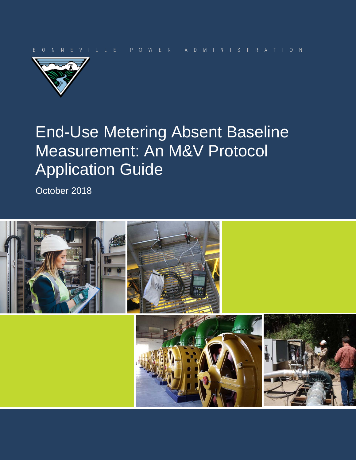

# End-Use Metering Absent Baseline Measurement: An M&V Protocol Application Guide

October 2018

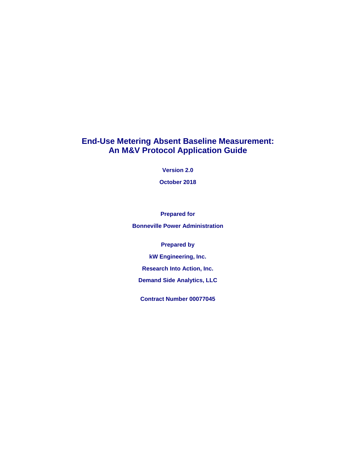### **End-Use Metering Absent Baseline Measurement: An M&V Protocol Application Guide**

**Version 2.0**

**October 2018**

**Prepared for**

**Bonneville Power Administration**

**Prepared by**

**kW Engineering, Inc.**

**Research Into Action, Inc.**

**Demand Side Analytics, LLC**

**Contract Number 00077045**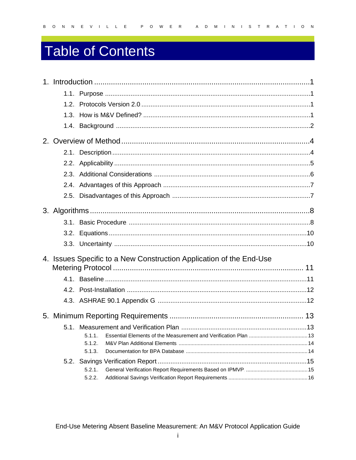# Table of Contents

| 4. Issues Specific to a New Construction Application of the End-Use |  |
|---------------------------------------------------------------------|--|
|                                                                     |  |
|                                                                     |  |
|                                                                     |  |
|                                                                     |  |
|                                                                     |  |
|                                                                     |  |
|                                                                     |  |
| .5.1.2.                                                             |  |
| .5.1.3.                                                             |  |
|                                                                     |  |
| .5.2.1.                                                             |  |
| .5.2.2.                                                             |  |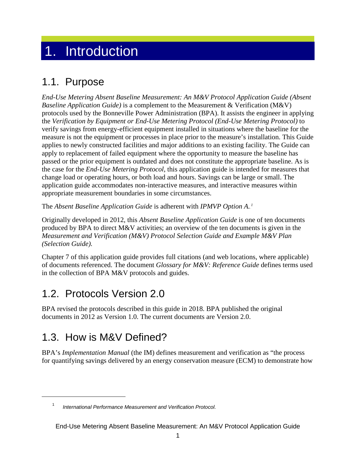## <span id="page-4-0"></span>1. Introduction

### <span id="page-4-1"></span>1.1. Purpose

*End-Use Metering Absent Baseline Measurement: An M&V Protocol Application Guide (Absent Baseline Application Guide)* is a complement to the Measurement & Verification (M&V) protocols used by the Bonneville Power Administration (BPA). It assists the engineer in applying the *Verification by Equipment or End-Use Metering Protocol (End-Use Metering Protocol)* to verify savings from energy-efficient equipment installed in situations where the baseline for the measure is not the equipment or processes in place prior to the measure's installation. This Guide applies to newly constructed facilities and major additions to an existing facility. The Guide can apply to replacement of failed equipment where the opportunity to measure the baseline has passed or the prior equipment is outdated and does not constitute the appropriate baseline. As is the case for the *End-Use Metering Protocol*, this application guide is intended for measures that change load or operating hours, or both load and hours. Savings can be large or small. The application guide accommodates non-interactive measures, and interactive measures within appropriate measurement boundaries in some circumstances.

The *Absent Baseline Application Guide* is adherent with *IPMVP Option A.*<sup>1</sup>

Originally developed in 2012, this *Absent Baseline Application Guide* is one of ten documents produced by BPA to direct M&V activities; an overview of the ten documents is given in the *Measurement and Verification (M&V) Protocol Selection Guide and Example M&V Plan (Selection Guide).*

Chapter [7](#page-32-0) of this application guide provides full citations (and web locations, where applicable) of documents referenced. The document *Glossary for M&V: Reference Guide* defines terms used in the collection of BPA M&V protocols and guides.

### <span id="page-4-2"></span>1.2. Protocols Version 2.0

BPA revised the protocols described in this guide in 2018. BPA published the original documents in 2012 as Version 1.0. The current documents are Version 2.0.

### <span id="page-4-3"></span>1.3. How is M&V Defined?

 $\overline{a}$ 

BPA's *Implementation Manual* (the IM) defines measurement and verification as "the process for quantifying savings delivered by an energy conservation measure (ECM) to demonstrate how

<sup>1</sup> *International Performance Measurement and Verification Protocol.*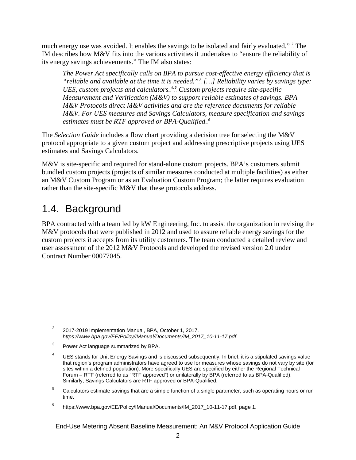much energy use was avoided. It enables the savings to be isolated and fairly evaluated."<sup>2</sup> The IM describes how M&V fits into the various activities it undertakes to "ensure the reliability of its energy savings achievements." The IM also states:

*The Power Act specifically calls on BPA to pursue cost-effective energy efficiency that is*  "*reliable and available at the time it is needed."*<sup>3</sup>[...] Reliability varies by savings type: UES, custom projects and calculators.<sup>4,5</sup> Custom projects require site-specific *Measurement and Verification (M&V) to support reliable estimates of savings. BPA M&V Protocols direct M&V activities and are the reference documents for reliable M&V. For UES measures and Savings Calculators, measure specification and savings*  estimates must be RTF approved or BPA-Qualified.<sup>5</sup>

The *Selection Guide* includes a flow chart providing a decision tree for selecting the M&V protocol appropriate to a given custom project and addressing prescriptive projects using UES estimates and Savings Calculators.

M&V is site-specific and required for stand-alone custom projects. BPA's customers submit bundled custom projects (projects of similar measures conducted at multiple facilities) as either an M&V Custom Program or as an Evaluation Custom Program; the latter requires evaluation rather than the site-specific M&V that these protocols address.

### <span id="page-5-0"></span>1.4. Background

 $\overline{a}$ 

BPA contracted with a team led by kW Engineering, Inc. to assist the organization in revising the M&V protocols that were published in 2012 and used to assure reliable energy savings for the custom projects it accepts from its utility customers. The team conducted a detailed review and user assessment of the 2012 M&V Protocols and developed the revised version 2.0 under Contract Number 00077045.

<sup>&</sup>lt;sup>2</sup> 2017-2019 Implementation Manual, BPA, October 1, 2017. *[https://www.bpa.gov/EE/Policy/IManual/Documents/IM\\_2017\\_10-11-17.pdf](https://www.bpa.gov/EE/Policy/IManual/Documents/IM_2017_10-11-17.pdf)*

<sup>&</sup>lt;sup>3</sup> Power Act language summarized by BPA.

<sup>&</sup>lt;sup>4</sup> UES stands for Unit Energy Savings and is discussed subsequently. In brief, it is a stipulated savings value that region's program administrators have agreed to use for measures whose savings do not vary by site (for sites within a defined population). More specifically UES are specified by either the Regional Technical Forum – RTF (referred to as "RTF approved") or unilaterally by BPA (referred to as BPA-Qualified). Similarly, Savings Calculators are RTF approved or BPA-Qualified.

<sup>&</sup>lt;sup>5</sup> Calculators estimate savings that are a simple function of a single parameter, such as operating hours or run time.

<sup>6</sup> https://www.bpa.gov/EE/Policy/IManual/Documents/IM\_2017\_10-11-17.pdf, page 1.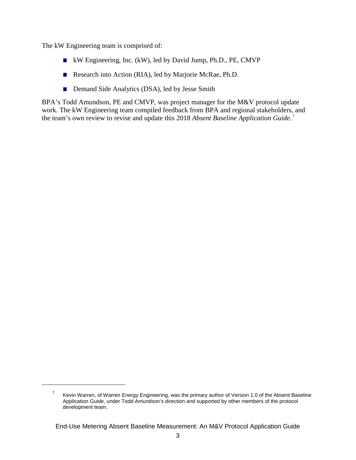The kW Engineering team is comprised of:

 $\overline{a}$ 

- kW Engineering, Inc. (kW), led by David Jump, Ph.D., PE, CMVP
- Research into Action (RIA), led by Marjorie McRae, Ph.D.
- Demand Side Analytics (DSA), led by Jesse Smith

BPA's Todd Amundson, PE and CMVP, was project manager for the M&V protocol update work. The kW Engineering team compiled feedback from BPA and regional stakeholders, and the team's own review to revise and update this 2018 Absent Baseline Application Guide.<sup>7</sup>

 $7$  Kevin Warren, of Warren Energy Engineering, was the primary author of Version 1.0 of the Absent Baseline Application Guide, under Todd Amundson's direction and supported by other members of the protocol development team.

End-Use Metering Absent Baseline Measurement: An M&V Protocol Application Guide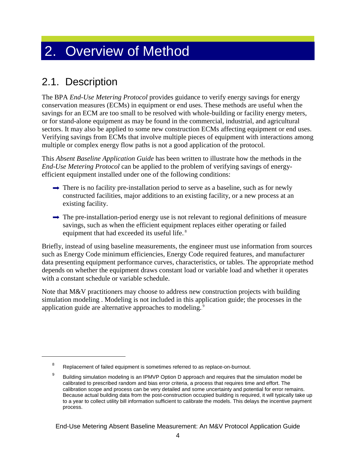# <span id="page-7-0"></span>2. Overview of Method

### <span id="page-7-1"></span>2.1. Description

 $\overline{a}$ 

The BPA *End-Use Metering Protocol* provides guidance to verify energy savings for energy conservation measures (ECMs) in equipment or end uses. These methods are useful when the savings for an ECM are too small to be resolved with whole-building or facility energy meters, or for stand-alone equipment as may be found in the commercial, industrial, and agricultural sectors. It may also be applied to some new construction ECMs affecting equipment or end uses. Verifying savings from ECMs that involve multiple pieces of equipment with interactions among multiple or complex energy flow paths is not a good application of the protocol.

This *Absent Baseline Application Guide* has been written to illustrate how the methods in the *End-Use Metering Protocol* can be applied to the problem of verifying savings of energyefficient equipment installed under one of the following conditions:

- $\rightarrow$  There is no facility pre-installation period to serve as a baseline, such as for newly constructed facilities, major additions to an existing facility, or a new process at an existing facility.
- $\rightarrow$  The pre-installation-period energy use is not relevant to regional definitions of measure savings, such as when the efficient equipment replaces either operating or failed equipment that had exceeded its useful life.<sup>8</sup>

Briefly, instead of using baseline measurements, the engineer must use information from sources such as Energy Code minimum efficiencies, Energy Code required features, and manufacturer data presenting equipment performance curves, characteristics, or tables. The appropriate method depends on whether the equipment draws constant load or variable load and whether it operates with a constant schedule or variable schedule.

Note that M&V practitioners may choose to address new construction projects with building simulation modeling . Modeling is not included in this application guide; the processes in the application guide are alternative approaches to modeling.<sup>9</sup>

<sup>&</sup>lt;sup>8</sup> Replacement of failed equipment is sometimes referred to as replace-on-burnout.

<sup>&</sup>lt;sup>9</sup> Building simulation modeling is an IPMVP Option D approach and requires that the simulation model be calibrated to prescribed random and bias error criteria, a process that requires time and effort. The calibration scope and process can be very detailed and some uncertainty and potential for error remains. Because actual building data from the post-construction occupied building is required, it will typically take up to a year to collect utility bill information sufficient to calibrate the models. This delays the incentive payment process.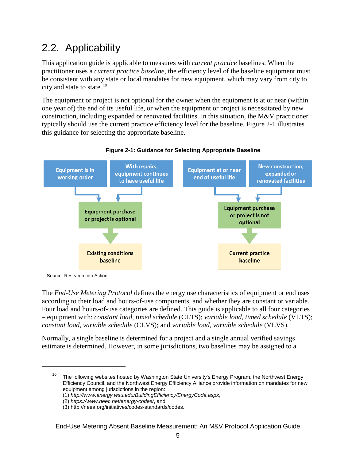### <span id="page-8-0"></span>2.2. Applicability

This application guide is applicable to measures with *current practice* baselines. When the practitioner uses a *current practice baseline*, the efficiency level of the baseline equipment must be consistent with any state or local mandates for new equipment, which may vary from city to city and state to state. $^{10}$ 

The equipment or project is not optional for the owner when the equipment is at or near (within one year of) the end of its useful life, or when the equipment or project is necessitated by new construction, including expanded or renovated facilities. In this situation, the M&V practitioner typically should use the current practice efficiency level for the baseline. [Figure 2-1](#page-8-1) illustrates this guidance for selecting the appropriate baseline.

<span id="page-8-1"></span>

#### **Figure 2-1: Guidance for Selecting Appropriate Baseline**

Source: Research Into Action

 $\overline{a}$ 

The *End-Use Metering Protocol* defines the energy use characteristics of equipment or end uses according to their load and hours-of-use components, and whether they are constant or variable. Four load and hours-of-use categories are defined. This guide is applicable to all four categories – equipment with: *constant load, timed schedule* (CLTS); *variable load, timed schedule* (VLTS); *constant load, variable schedule* (CLVS); and *variable load, variable schedule* (VLVS).

Normally, a single baseline is determined for a project and a single annual verified savings estimate is determined. However, in some jurisdictions, two baselines may be assigned to a

<sup>&</sup>lt;sup>10</sup> The following websites hosted by Washington State University's Energy Program, the Northwest Energy Efficiency Council, and the Northwest Energy Efficiency Alliance provide information on mandates for new equipment among jurisdictions in the region:

<sup>(1)</sup> *<http://www.energy.wsu.edu/BuildingEfficiency/EnergyCode.aspx>*,

<sup>(2)</sup> *<https://www.neec.net/energy-codes/>*, and

<sup>(3)</sup> http://neea.org/initiatives/codes-standards/codes.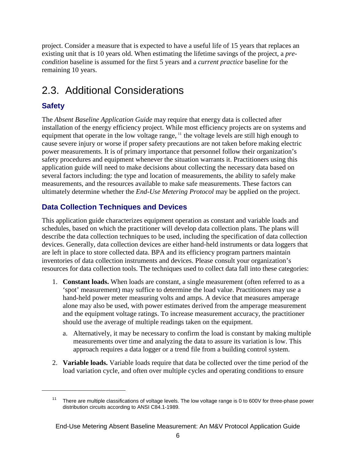project. Consider a measure that is expected to have a useful life of 15 years that replaces an existing unit that is 10 years old. When estimating the lifetime savings of the project, a *precondition* baseline is assumed for the first 5 years and a *current practice* baseline for the remaining 10 years.

### <span id="page-9-0"></span>2.3. Additional Considerations

### **Safety**

 $\overline{a}$ 

The *Absent Baseline Application Guide* may require that energy data is collected after installation of the energy efficiency project. While most efficiency projects are on systems and equipment that operate in the low voltage range,  $<sup>11</sup>$  the voltage levels are still high enough to</sup> cause severe injury or worse if proper safety precautions are not taken before making electric power measurements. It is of primary importance that personnel follow their organization's safety procedures and equipment whenever the situation warrants it. Practitioners using this application guide will need to make decisions about collecting the necessary data based on several factors including: the type and location of measurements, the ability to safely make measurements, and the resources available to make safe measurements. These factors can ultimately determine whether the *End-Use Metering Protocol* may be applied on the project.

### **Data Collection Techniques and Devices**

This application guide characterizes equipment operation as constant and variable loads and schedules, based on which the practitioner will develop data collection plans. The plans will describe the data collection techniques to be used, including the specification of data collection devices. Generally, data collection devices are either hand-held instruments or data loggers that are left in place to store collected data. BPA and its efficiency program partners maintain inventories of data collection instruments and devices. Please consult your organization's resources for data collection tools. The techniques used to collect data fall into these categories:

- 1. **Constant loads.** When loads are constant, a single measurement (often referred to as a 'spot' measurement) may suffice to determine the load value. Practitioners may use a hand-held power meter measuring volts and amps. A device that measures amperage alone may also be used, with power estimates derived from the amperage measurement and the equipment voltage ratings. To increase measurement accuracy, the practitioner should use the average of multiple readings taken on the equipment.
	- a. Alternatively, it may be necessary to confirm the load is constant by making multiple measurements over time and analyzing the data to assure its variation is low. This approach requires a data logger or a trend file from a building control system.
- 2. **Variable loads.** Variable loads require that data be collected over the time period of the load variation cycle, and often over multiple cycles and operating conditions to ensure

<sup>11</sup> There are multiple classifications of voltage levels. The low voltage range is 0 to 600V for three-phase power distribution circuits according to ANSI C84.1-1989.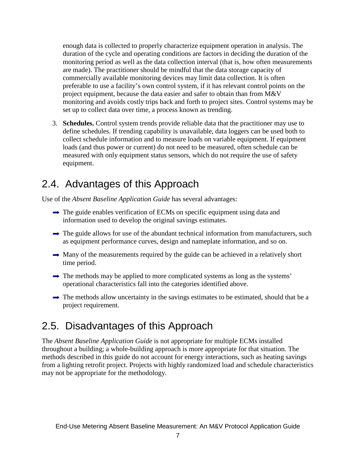enough data is collected to properly characterize equipment operation in analysis. The duration of the cycle and operating conditions are factors in deciding the duration of the monitoring period as well as the data collection interval (that is, how often measurements are made). The practitioner should be mindful that the data storage capacity of commercially available monitoring devices may limit data collection. It is often preferable to use a facility's own control system, if it has relevant control points on the project equipment, because the data easier and safer to obtain than from M&V monitoring and avoids costly trips back and forth to project sites. Control systems may be set up to collect data over time, a process known as trending.

3. **Schedules.** Control system trends provide reliable data that the practitioner may use to define schedules. If trending capability is unavailable, data loggers can be used both to collect schedule information and to measure loads on variable equipment. If equipment loads (and thus power or current) do not need to be measured, often schedule can be measured with only equipment status sensors, which do not require the use of safety equipment.

### <span id="page-10-0"></span>2.4. Advantages of this Approach

Use of the *Absent Baseline Application Guide* has several advantages:

- $\rightarrow$  The guide enables verification of ECMs on specific equipment using data and information used to develop the original savings estimates.
- $\rightarrow$  The guide allows for use of the abundant technical information from manufacturers, such as equipment performance curves, design and nameplate information, and so on.
- $\rightarrow$  Many of the measurements required by the guide can be achieved in a relatively short time period.
- $\rightarrow$  The methods may be applied to more complicated systems as long as the systems' operational characteristics fall into the categories identified above.
- $\rightarrow$  The methods allow uncertainty in the savings estimates to be estimated, should that be a project requirement.

### <span id="page-10-1"></span>2.5. Disadvantages of this Approach

The *Absent Baseline Application Guide* is not appropriate for multiple ECMs installed throughout a building; a whole-building approach is more appropriate for that situation. The methods described in this guide do not account for energy interactions, such as heating savings from a lighting retrofit project. Projects with highly randomized load and schedule characteristics may not be appropriate for the methodology.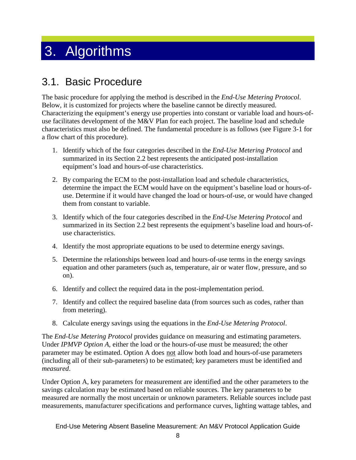# <span id="page-11-0"></span>3. Algorithms

### <span id="page-11-1"></span>3.1. Basic Procedure

The basic procedure for applying the method is described in the *End-Use Metering Protocol*. Below, it is customized for projects where the baseline cannot be directly measured. Characterizing the equipment's energy use properties into constant or variable load and hours-ofuse facilitates development of the M&V Plan for each project. The baseline load and schedule characteristics must also be defined. The fundamental procedure is as follows (see [Figure 3-1](#page-12-0) for a flow chart of this procedure).

- 1. Identify which of the four categories described in the *End-Use Metering Protocol* and summarized in its Section 2.2 best represents the anticipated post-installation equipment's load and hours-of-use characteristics.
- 2. By comparing the ECM to the post-installation load and schedule characteristics, determine the impact the ECM would have on the equipment's baseline load or hours-ofuse. Determine if it would have changed the load or hours-of-use, or would have changed them from constant to variable.
- 3. Identify which of the four categories described in the *End-Use Metering Protocol* and summarized in its Section 2.2 best represents the equipment's baseline load and hours-ofuse characteristics.
- 4. Identify the most appropriate equations to be used to determine energy savings.
- 5. Determine the relationships between load and hours-of-use terms in the energy savings equation and other parameters (such as, temperature, air or water flow, pressure, and so on).
- 6. Identify and collect the required data in the post-implementation period.
- 7. Identify and collect the required baseline data (from sources such as codes, rather than from metering).
- 8. Calculate energy savings using the equations in the *End-Use Metering Protocol*.

The *End-Use Metering Protocol* provides guidance on measuring and estimating parameters. Under *IPMVP Option A*, either the load or the hours-of-use must be measured; the other parameter may be estimated. Option A does not allow both load and hours-of-use parameters (including all of their sub-parameters) to be estimated; key parameters must be identified and *measured*.

Under Option A, key parameters for measurement are identified and the other parameters to the savings calculation may be estimated based on reliable sources. The key parameters to be measured are normally the most uncertain or unknown parameters. Reliable sources include past measurements, manufacturer specifications and performance curves, lighting wattage tables, and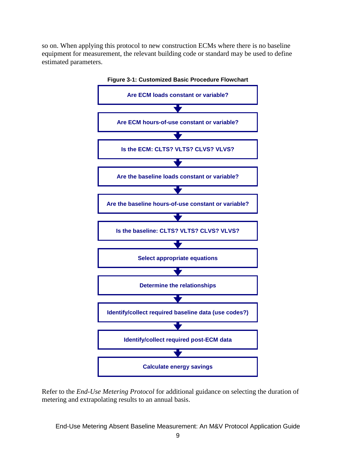<span id="page-12-0"></span>so on. When applying this protocol to new construction ECMs where there is no baseline equipment for measurement, the relevant building code or standard may be used to define estimated parameters.



Refer to the *End-Use Metering Protocol* for additional guidance on selecting the duration of metering and extrapolating results to an annual basis.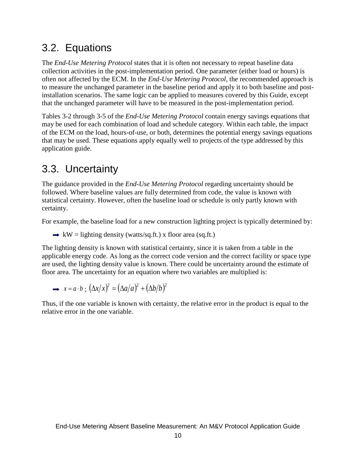### <span id="page-13-0"></span>3.2. Equations

The *End-Use Metering Protocol* states that it is often not necessary to repeat baseline data collection activities in the post-implementation period. One parameter (either load or hours) is often not affected by the ECM. In the *End-Use Metering Protocol*, the recommended approach is to measure the unchanged parameter in the baseline period and apply it to both baseline and postinstallation scenarios. The same logic can be applied to measures covered by this Guide, except that the unchanged parameter will have to be measured in the post-implementation period.

Tables 3-2 through 3-5 of the *End-Use Metering Protocol* contain energy savings equations that may be used for each combination of load and schedule category. Within each table, the impact of the ECM on the load, hours-of-use, or both, determines the potential energy savings equations that may be used. These equations apply equally well to projects of the type addressed by this application guide.

### <span id="page-13-1"></span>3.3. Uncertainty

The guidance provided in the *End-Use Metering Protocol* regarding uncertainty should be followed. Where baseline values are fully determined from code, the value is known with statistical certainty. However, often the baseline load or schedule is only partly known with certainty.

For example, the baseline load for a new construction lighting project is typically determined by:

 $\rightarrow$  kW = lighting density (watts/sq.ft.) x floor area (sq.ft.)

The lighting density is known with statistical certainty, since it is taken from a table in the applicable energy code. As long as the correct code version and the correct facility or space type are used, the lighting density value is known. There could be uncertainty around the estimate of floor area. The uncertainty for an equation where two variables are multiplied is:

$$
\rightarrow x = a \cdot b ; (\Delta x / x)^2 = (\Delta a / a)^2 + (\Delta b / b)^2
$$

Thus, if the one variable is known with certainty, the relative error in the product is equal to the relative error in the one variable.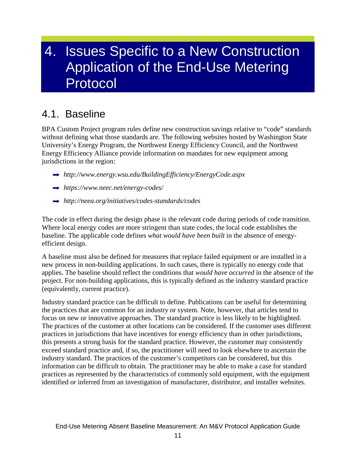## <span id="page-14-0"></span>4. Issues Specific to a New Construction Application of the End-Use Metering Protocol

### <span id="page-14-1"></span>4.1. Baseline

BPA Custom Project program rules define new construction savings relative to "code" standards without defining what those standards are. The following websites hosted by Washington State University's Energy Program, the Northwest Energy Efficiency Council, and the Northwest Energy Efficiency Alliance provide information on mandates for new equipment among jurisdictions in the region:

- $\rightarrow$  <http://www.energy.wsu.edu/BuildingEfficiency/EnergyCode.aspx>.
- $\rightarrow$  <https://www.neec.net/energy-codes/>
- $\rightarrow$  <http://neea.org/initiatives/codes-standards/codes>.

The code in effect during the design phase is the relevant code during periods of code transition. Where local energy codes are more stringent than state codes, the local code establishes the baseline. The applicable code defines *what would have been built* in the absence of energyefficient design.

A baseline must also be defined for measures that replace failed equipment or are installed in a new process in non-building applications. In such cases, there is typically no energy code that applies. The baseline should reflect the conditions that *would have occurred* in the absence of the project. For non-building applications, this is typically defined as the industry standard practice (equivalently, current practice).

Industry standard practice can be difficult to define. Publications can be useful for determining the practices that are common for an industry or system. Note, however, that articles tend to focus on new or innovative approaches. The standard practice is less likely to be highlighted. The practices of the customer at other locations can be considered. If the customer uses different practices in jurisdictions that have incentives for energy efficiency than in other jurisdictions, this presents a strong basis for the standard practice. However, the customer may consistently exceed standard practice and, if so, the practitioner will need to look elsewhere to ascertain the industry standard. The practices of the customer's competitors can be considered, but this information can be difficult to obtain. The practitioner may be able to make a case for standard practices as represented by the characteristics of commonly sold equipment, with the equipment identified or inferred from an investigation of manufacturer, distributor, and installer websites.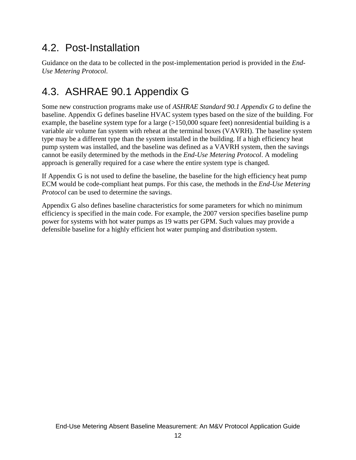### <span id="page-15-0"></span>4.2. Post-Installation

Guidance on the data to be collected in the post-implementation period is provided in the *End-Use Metering Protocol*.

### <span id="page-15-1"></span>4.3. ASHRAE 90.1 Appendix G

Some new construction programs make use of *ASHRAE Standard 90.1 Appendix G* to define the baseline. Appendix G defines baseline HVAC system types based on the size of the building. For example, the baseline system type for a large (>150,000 square feet) nonresidential building is a variable air volume fan system with reheat at the terminal boxes (VAVRH). The baseline system type may be a different type than the system installed in the building. If a high efficiency heat pump system was installed, and the baseline was defined as a VAVRH system, then the savings cannot be easily determined by the methods in the *End-Use Metering Protocol*. A modeling approach is generally required for a case where the entire system type is changed.

If Appendix G is not used to define the baseline, the baseline for the high efficiency heat pump ECM would be code-compliant heat pumps. For this case, the methods in the *End-Use Metering Protocol* can be used to determine the savings.

Appendix G also defines baseline characteristics for some parameters for which no minimum efficiency is specified in the main code. For example, the 2007 version specifies baseline pump power for systems with hot water pumps as 19 watts per GPM. Such values may provide a defensible baseline for a highly efficient hot water pumping and distribution system.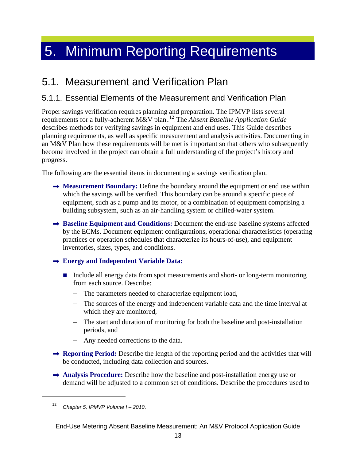# <span id="page-16-0"></span>5. Minimum Reporting Requirements

### <span id="page-16-1"></span>5.1. Measurement and Verification Plan

### <span id="page-16-2"></span>5.1.1. Essential Elements of the Measurement and Verification Plan

Proper savings verification requires planning and preparation. The IPMVP lists several requirements for a fully-adherent M&V plan.<sup>12</sup> The *Absent Baseline Application Guide* describes methods for verifying savings in equipment and end uses. This Guide describes planning requirements, as well as specific measurement and analysis activities. Documenting in an M&V Plan how these requirements will be met is important so that others who subsequently become involved in the project can obtain a full understanding of the project's history and progress.

The following are the essential items in documenting a savings verification plan.

- → **Measurement Boundary:** Define the boundary around the equipment or end use within which the savings will be verified. This boundary can be around a specific piece of equipment, such as a pump and its motor, or a combination of equipment comprising a building subsystem, such as an air-handling system or chilled-water system.
- **→ Baseline Equipment and Conditions:** Document the end-use baseline systems affected by the ECMs. Document equipment configurations, operational characteristics (operating practices or operation schedules that characterize its hours-of-use), and equipment inventories, sizes, types, and conditions.

#### **Energy and Independent Variable Data:**

- Include all energy data from spot measurements and short- or long-term monitoring from each source. Describe:
	- − The parameters needed to characterize equipment load,
	- − The sources of the energy and independent variable data and the time interval at which they are monitored,
	- − The start and duration of monitoring for both the baseline and post-installation periods, and
	- − Any needed corrections to the data.
- **Reporting Period:** Describe the length of the reporting period and the activities that will be conducted, including data collection and sources.
- **Analysis Procedure:** Describe how the baseline and post-installation energy use or demand will be adjusted to a common set of conditions. Describe the procedures used to

 $\overline{a}$ 

<sup>12</sup> *Chapter 5, IPMVP Volume I – 2010*.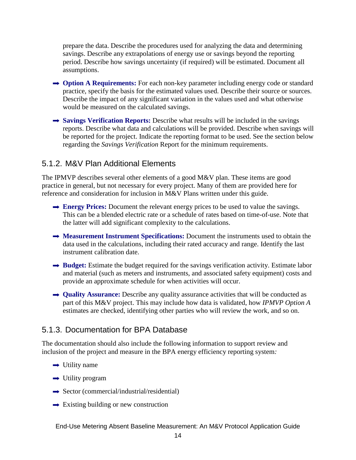prepare the data. Describe the procedures used for analyzing the data and determining savings. Describe any extrapolations of energy use or savings beyond the reporting period. Describe how savings uncertainty (if required) will be estimated. Document all assumptions.

- **→ Option A Requirements:** For each non-key parameter including energy code or standard practice, specify the basis for the estimated values used. Describe their source or sources. Describe the impact of any significant variation in the values used and what otherwise would be measured on the calculated savings.
- **Savings Verification Reports:** Describe what results will be included in the savings reports. Describe what data and calculations will be provided. Describe when savings will be reported for the project. Indicate the reporting format to be used. See the section below regarding the *[Savings Verification](#page-18-0)* Report for the minimum requirements.

#### <span id="page-17-0"></span>5.1.2. M&V Plan Additional Elements

The IPMVP describes several other elements of a good M&V plan. These items are good practice in general, but not necessary for every project. Many of them are provided here for reference and consideration for inclusion in M&V Plans written under this guide.

- $\rightarrow$  **Energy Prices:** Document the relevant energy prices to be used to value the savings. This can be a blended electric rate or a schedule of rates based on time-of-use. Note that the latter will add significant complexity to the calculations.
- **→ Measurement Instrument Specifications:** Document the instruments used to obtain the data used in the calculations, including their rated accuracy and range. Identify the last instrument calibration date.
- **→ Budget:** Estimate the budget required for the savings verification activity. Estimate labor and material (such as meters and instruments, and associated safety equipment) costs and provide an approximate schedule for when activities will occur.
- $\rightarrow$  **Quality Assurance:** Describe any quality assurance activities that will be conducted as part of this M&V project. This may include how data is validated, how *IPMVP Option A* estimates are checked, identifying other parties who will review the work, and so on.

#### <span id="page-17-1"></span>5.1.3. Documentation for BPA Database

The documentation should also include the following information to support review and inclusion of the project and measure in the BPA energy efficiency reporting system*:*

- $\rightarrow$  Utility name
- $\rightarrow$  Utility program
- $\rightarrow$  Sector (commercial/industrial/residential)
- $\rightarrow$  Existing building or new construction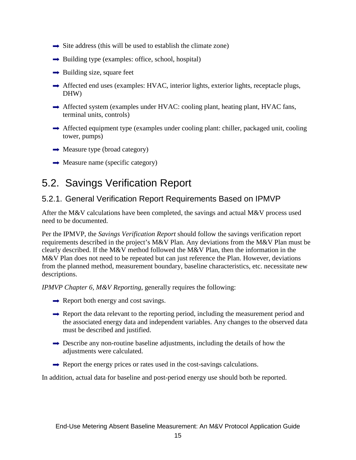- $\rightarrow$  Site address (this will be used to establish the climate zone)
- $\rightarrow$  Building type (examples: office, school, hospital)
- $\rightarrow$  Building size, square feet
- $\rightarrow$  Affected end uses (examples: HVAC, interior lights, exterior lights, receptacle plugs, DHW)
- $\rightarrow$  Affected system (examples under HVAC: cooling plant, heating plant, HVAC fans, terminal units, controls)
- $\rightarrow$  Affected equipment type (examples under cooling plant: chiller, packaged unit, cooling tower, pumps)
- $\rightarrow$  Measure type (broad category)
- $\rightarrow$  Measure name (specific category)

### <span id="page-18-0"></span>5.2. Savings Verification Report

### <span id="page-18-1"></span>5.2.1. General Verification Report Requirements Based on IPMVP

After the M&V calculations have been completed, the savings and actual M&V process used need to be documented.

Per the IPMVP, the *Savings Verification Report* should follow the savings verification report requirements described in the project's M&V Plan. Any deviations from the M&V Plan must be clearly described. If the M&V method followed the M&V Plan, then the information in the M&V Plan does not need to be repeated but can just reference the Plan. However, deviations from the planned method, measurement boundary, baseline characteristics, etc. necessitate new descriptions.

*IPMVP Chapter 6, M&V Reporting*, generally requires the following:

- $\rightarrow$  Report both energy and cost savings.
- $\rightarrow$  Report the data relevant to the reporting period, including the measurement period and the associated energy data and independent variables. Any changes to the observed data must be described and justified.
- $\rightarrow$  Describe any non-routine baseline adjustments, including the details of how the adjustments were calculated.
- $\rightarrow$  Report the energy prices or rates used in the cost-savings calculations.

In addition, actual data for baseline and post-period energy use should both be reported.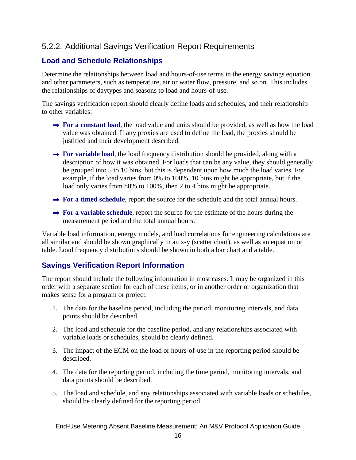### <span id="page-19-0"></span>5.2.2. Additional Savings Verification Report Requirements

#### **Load and Schedule Relationships**

Determine the relationships between load and hours-of-use terms in the energy savings equation and other parameters, such as temperature, air or water flow, pressure, and so on. This includes the relationships of daytypes and seasons to load and hours-of-use.

The savings verification report should clearly define loads and schedules, and their relationship to other variables:

- **→ For a constant load**, the load value and units should be provided, as well as how the load value was obtained. If any proxies are used to define the load, the proxies should be justified and their development described.
- **→ For variable load**, the load frequency distribution should be provided, along with a description of how it was obtained. For loads that can be any value, they should generally be grouped into 5 to 10 bins, but this is dependent upon how much the load varies. For example, if the load varies from 0% to 100%, 10 bins might be appropriate, but if the load only varies from 80% to 100%, then 2 to 4 bins might be appropriate.
- **→ For a timed schedule**, report the source for the schedule and the total annual hours.
- $\rightarrow$  For a variable schedule, report the source for the estimate of the hours during the measurement period and the total annual hours.

Variable load information, energy models, and load correlations for engineering calculations are all similar and should be shown graphically in an x-y (scatter chart), as well as an equation or table. Load frequency distributions should be shown in both a bar chart and a table.

#### **Savings Verification Report Information**

The report should include the following information in most cases. It may be organized in this order with a separate section for each of these items, or in another order or organization that makes sense for a program or project.

- 1. The data for the baseline period, including the period, monitoring intervals, and data points should be described.
- 2. The load and schedule for the baseline period, and any relationships associated with variable loads or schedules, should be clearly defined.
- 3. The impact of the ECM on the load or hours-of-use in the reporting period should be described.
- 4. The data for the reporting period, including the time period, monitoring intervals, and data points should be described.
- 5. The load and schedule, and any relationships associated with variable loads or schedules, should be clearly defined for the reporting period.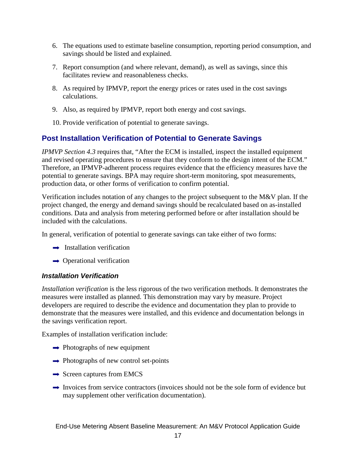- 6. The equations used to estimate baseline consumption, reporting period consumption, and savings should be listed and explained.
- 7. Report consumption (and where relevant, demand), as well as savings, since this facilitates review and reasonableness checks.
- 8. As required by IPMVP, report the energy prices or rates used in the cost savings calculations.
- 9. Also, as required by IPMVP, report both energy and cost savings.
- 10. Provide verification of potential to generate savings.

#### **Post Installation Verification of Potential to Generate Savings**

*IPMVP Section 4.3* requires that, "After the ECM is installed, inspect the installed equipment and revised operating procedures to ensure that they conform to the design intent of the ECM." Therefore, an IPMVP-adherent process requires evidence that the efficiency measures have the potential to generate savings. BPA may require short-term monitoring, spot measurements, production data, or other forms of verification to confirm potential.

Verification includes notation of any changes to the project subsequent to the M&V plan. If the project changed, the energy and demand savings should be recalculated based on as-installed conditions. Data and analysis from metering performed before or after installation should be included with the calculations.

In general, verification of potential to generate savings can take either of two forms:

- $\rightarrow$  Installation verification
- $\rightarrow$  Operational verification

#### *Installation Verification*

*Installation verification* is the less rigorous of the two verification methods. It demonstrates the measures were installed as planned. This demonstration may vary by measure. Project developers are required to describe the evidence and documentation they plan to provide to demonstrate that the measures were installed, and this evidence and documentation belongs in the savings verification report.

Examples of installation verification include:

- $\rightarrow$  Photographs of new equipment
- $\rightarrow$  Photographs of new control set-points
- $\rightarrow$  Screen captures from EMCS
- $\rightarrow$  Invoices from service contractors (invoices should not be the sole form of evidence but may supplement other verification documentation).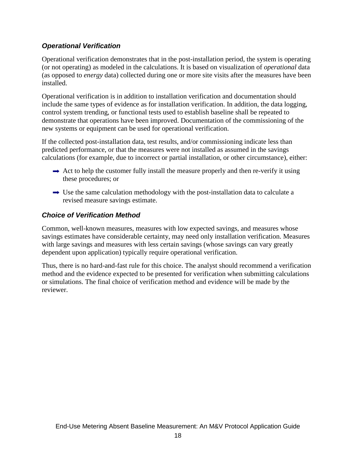#### *Operational Verification*

Operational verification demonstrates that in the post-installation period, the system is operating (or not operating) as modeled in the calculations. It is based on visualization of *operational* data (as opposed to *energy* data) collected during one or more site visits after the measures have been installed.

Operational verification is in addition to installation verification and documentation should include the same types of evidence as for installation verification. In addition, the data logging, control system trending, or functional tests used to establish baseline shall be repeated to demonstrate that operations have been improved. Documentation of the commissioning of the new systems or equipment can be used for operational verification.

If the collected post-installation data, test results, and/or commissioning indicate less than predicted performance, or that the measures were not installed as assumed in the savings calculations (for example, due to incorrect or partial installation, or other circumstance), either:

- $\rightarrow$  Act to help the customer fully install the measure properly and then re-verify it using these procedures; or
- $\rightarrow$  Use the same calculation methodology with the post-installation data to calculate a revised measure savings estimate.

#### *Choice of Verification Method*

Common, well-known measures, measures with low expected savings, and measures whose savings estimates have considerable certainty, may need only installation verification. Measures with large savings and measures with less certain savings (whose savings can vary greatly dependent upon application) typically require operational verification.

Thus, there is no hard-and-fast rule for this choice. The analyst should recommend a verification method and the evidence expected to be presented for verification when submitting calculations or simulations. The final choice of verification method and evidence will be made by the reviewer.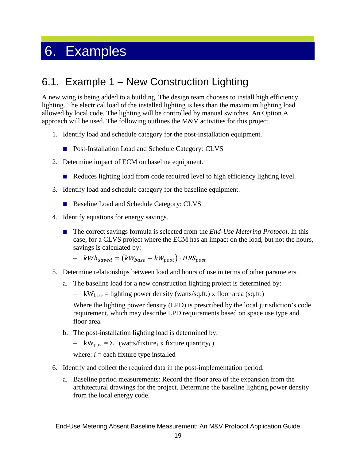## <span id="page-22-0"></span>6. Examples

### <span id="page-22-1"></span>6.1. Example 1 – New Construction Lighting

A new wing is being added to a building. The design team chooses to install high efficiency lighting. The electrical load of the installed lighting is less than the maximum lighting load allowed by local code. The lighting will be controlled by manual switches. An Option A approach will be used. The following outlines the M&V activities for this project.

- 1. Identify load and schedule category for the post-installation equipment.
	- Post-Installation Load and Schedule Category*:* CLVS
- 2. Determine impact of ECM on baseline equipment.
	- Reduces lighting load from code required level to high efficiency lighting level.
- 3. Identify load and schedule category for the baseline equipment.
	- Baseline Load and Schedule Category: CLVS
- 4. Identify equations for energy savings.
	- The correct savings formula is selected from the *End-Use Metering Protocol*. In this case, for a CLVS project where the ECM has an impact on the load, but not the hours, savings is calculated by:

$$
- \quad kWh_{saved} = (kW_{base} - kW_{post}) \cdot HRS_{post}
$$

- 5. Determine relationships between load and hours of use in terms of other parameters.
	- a. The baseline load for a new construction lighting project is determined by:
		- − kW<sub>base</sub> = lighting power density (watts/sq.ft.) x floor area (sq.ft.)

Where the lighting power density (LPD) is prescribed by the local jurisdiction's code requirement, which may describe LPD requirements based on space use type and floor area.

- b. The post-installation lighting load is determined by:
	- $-$  kW<sub>post</sub> =  $\Sigma_{i}$ ; (watts/fixture<sub>i</sub> x fixture quantity<sub>i</sub>)

where:  $i =$  each fixture type installed

- 6. Identify and collect the required data in the post-implementation period.
	- a. Baseline period measurements: Record the floor area of the expansion from the architectural drawings for the project. Determine the baseline lighting power density from the local energy code.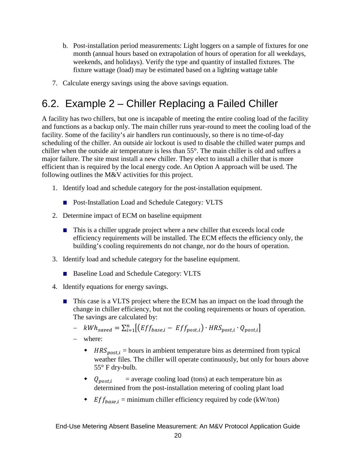- b. Post-installation period measurements: Light loggers on a sample of fixtures for one month (annual hours based on extrapolation of hours of operation for all weekdays, weekends, and holidays). Verify the type and quantity of installed fixtures. The fixture wattage (load) may be estimated based on a lighting wattage table
- 7. Calculate energy savings using the above savings equation.

### <span id="page-23-0"></span>6.2. Example 2 – Chiller Replacing a Failed Chiller

A facility has two chillers, but one is incapable of meeting the entire cooling load of the facility and functions as a backup only. The main chiller runs year-round to meet the cooling load of the facility. Some of the facility's air handlers run continuously, so there is no time-of-day scheduling of the chiller. An outside air lockout is used to disable the chilled water pumps and chiller when the outside air temperature is less than 55°. The main chiller is old and suffers a major failure. The site must install a new chiller. They elect to install a chiller that is more efficient than is required by the local energy code. An Option A approach will be used. The following outlines the M&V activities for this project.

- 1. Identify load and schedule category for the post-installation equipment.
	- Post-Installation Load and Schedule Category: VLTS
- 2. Determine impact of ECM on baseline equipment
	- This is a chiller upgrade project where a new chiller that exceeds local code efficiency requirements will be installed. The ECM effects the efficiency only, the building's cooling requirements do not change, nor do the hours of operation.
- 3. Identify load and schedule category for the baseline equipment.
	- Baseline Load and Schedule Category: VLTS
- 4. Identify equations for energy savings.
	- This case is a VLTS project where the ECM has an impact on the load through the change in chiller efficiency, but not the cooling requirements or hours of operation. The savings are calculated by:
		- $\quad kWh_{saved} = \sum_{i=1}^{n} [(Eff_{base,i} Eff_{post,i}) \cdot HRS_{post,i} \cdot Q_{post,i}]$
		- − where:
			- $\bullet$  HRS<sub>post,i</sub> = hours in ambient temperature bins as determined from typical weather files. The chiller will operate continuously, but only for hours above 55° F dry-bulb.
			- $\bullet$   $Q_{post,i}$  = average cooling load (tons) at each temperature bin as determined from the post-installation metering of cooling plant load
			- *Eff<sub>base.i</sub>* = minimum chiller efficiency required by code (kW/ton)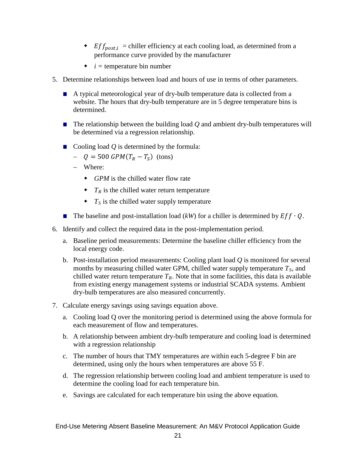- $\bullet$  *Eff<sub>nost,i*</sub> = chiller efficiency at each cooling load, as determined from a performance curve provided by the manufacturer
- $\bullet$  *i* = temperature bin number
- 5. Determine relationships between load and hours of use in terms of other parameters.
	- A typical meteorological year of dry-bulb temperature data is collected from a website. The hours that dry-bulb temperature are in 5 degree temperature bins is determined.
	- The relationship between the building load *Q* and ambient dry-bulb temperatures will be determined via a regression relationship.
	- Cooling load *Q* is determined by the formula:
		- $-Q = 500$   $GPM(T_R T_S)$  (tons)
		- − Where:
			- *GPM* is the chilled water flow rate
			- $\bullet$   $T_R$  is the chilled water return temperature
			- $\bullet$  *T*<sub>S</sub> is the chilled water supply temperature
	- **■** The baseline and post-installation load  $(kW)$  for a chiller is determined by  $Ef f \cdot Q$ .
- 6. Identify and collect the required data in the post-implementation period.
	- a. Baseline period measurements: Determine the baseline chiller efficiency from the local energy code.
	- b. Post-installation period measurements: Cooling plant load *Q* is monitored for several months by measuring chilled water GPM, chilled water supply temperature  $T<sub>S</sub>$ , and chilled water return temperature  $T_R$ . Note that in some facilities, this data is available from existing energy management systems or industrial SCADA systems. Ambient dry-bulb temperatures are also measured concurrently.
- 7. Calculate energy savings using savings equation above.
	- a. Cooling load Q over the monitoring period is determined using the above formula for each measurement of flow and temperatures.
	- b. A relationship between ambient dry-bulb temperature and cooling load is determined with a regression relationship
	- c. The number of hours that TMY temperatures are within each 5-degree F bin are determined, using only the hours when temperatures are above 55 F.
	- d. The regression relationship between cooling load and ambient temperature is used to determine the cooling load for each temperature bin.
	- e. Savings are calculated for each temperature bin using the above equation.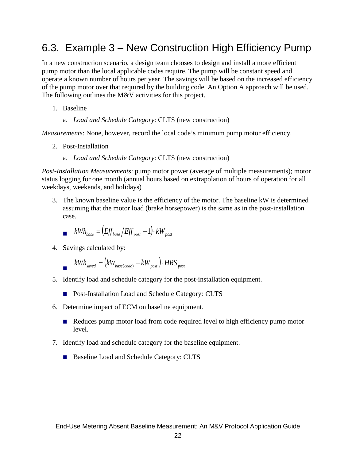### <span id="page-25-0"></span>6.3. Example 3 – New Construction High Efficiency Pump

In a new construction scenario, a design team chooses to design and install a more efficient pump motor than the local applicable codes require. The pump will be constant speed and operate a known number of hours per year. The savings will be based on the increased efficiency of the pump motor over that required by the building code. An Option A approach will be used. The following outlines the M&V activities for this project.

- 1. Baseline
	- a. *Load and Schedule Category*: CLTS (new construction)

*Measurements*: None, however, record the local code's minimum pump motor efficiency.

- 2. Post-Installation
	- a. *Load and Schedule Category*: CLTS (new construction)

*Post-Installation Measurements*: pump motor power (average of multiple measurements); motor status logging for one month (annual hours based on extrapolation of hours of operation for all weekdays, weekends, and holidays)

3. The known baseline value is the efficiency of the motor. The baseline kW is determined assuming that the motor load (brake horsepower) is the same as in the post-installation case.

$$
kWh_{base} = (Eff_{base} / Eff_{post} - 1) \cdot kW_{post}
$$

4. Savings calculated by:

$$
kWh_{\text{saved}} = (kW_{\text{base}(\text{code})} - kW_{\text{post}}) \cdot HRS_{\text{post}}
$$

- 5. Identify load and schedule category for the post-installation equipment.
	- Post-Installation Load and Schedule Category*:* CLTS
- 6. Determine impact of ECM on baseline equipment.
	- Reduces pump motor load from code required level to high efficiency pump motor level.
- 7. Identify load and schedule category for the baseline equipment.
	- Baseline Load and Schedule Category: CLTS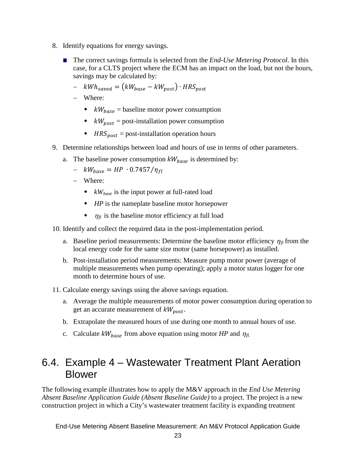- 8. Identify equations for energy savings.
	- The correct savings formula is selected from the *End-Use Metering Protocol*. In this case, for a CLTS project where the ECM has an impact on the load, but not the hours, savings may be calculated by:
		- $kWh_{saved} = (kW_{base} kW_{post}) \cdot HRS_{post}$
		- − Where:
			- $\bullet$   $kW_{base}$  = baseline motor power consumption
			- $\bullet$   $kW_{\text{post}}$  = post-installation power consumption
			- $\triangleleft$  *HRS*<sub>post</sub> = post-installation operation hours
- 9. Determine relationships between load and hours of use in terms of other parameters.
	- a. The baseline power consumption  $kW_{base}$  is determined by:
		- $kW_{base} = HP \cdot 0.7457/\eta_{fl}$
		- − Where:
			- $\bullet$  *kW<sub>base</sub>* is the input power at full-rated load
			- *HP* is the nameplate baseline motor horsepower
			- $\bullet$   $\eta_{\text{fl}}$  is the baseline motor efficiency at full load
- 10. Identify and collect the required data in the post-implementation period.
	- a. Baseline period measurements: Determine the baseline motor efficiency  $\eta_{fl}$  from the local energy code for the same size motor (same horsepower) as installed.
	- b. Post-installation period measurements: Measure pump motor power (average of multiple measurements when pump operating); apply a motor status logger for one month to determine hours of use.
- 11. Calculate energy savings using the above savings equation.
	- a. Average the multiple measurements of motor power consumption during operation to get an accurate measurement of  $kW_{\text{post}}$ .
	- b. Extrapolate the measured hours of use during one month to annual hours of use.
	- c. Calculate  $kW_{base}$  from above equation using motor *HP* and  $\eta_{fl.}$

### <span id="page-26-0"></span>6.4. Example 4 – Wastewater Treatment Plant Aeration Blower

The following example illustrates how to apply the M&V approach in the *End Use Metering Absent Baseline Application Guide (Absent Baseline Guide)* to a project. The project is a new construction project in which a City's wastewater treatment facility is expanding treatment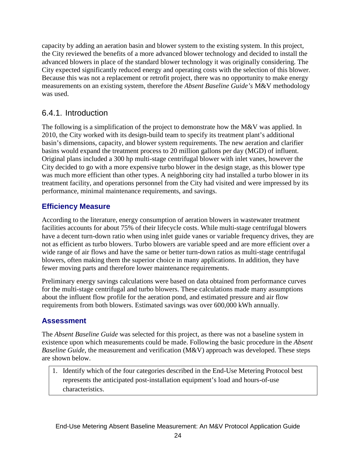capacity by adding an aeration basin and blower system to the existing system. In this project, the City reviewed the benefits of a more advanced blower technology and decided to install the advanced blowers in place of the standard blower technology it was originally considering. The City expected significantly reduced energy and operating costs with the selection of this blower. Because this was not a replacement or retrofit project, there was no opportunity to make energy measurements on an existing system, therefore the *Absent Baseline Guide's* M&V methodology was used.

### <span id="page-27-0"></span>6.4.1. Introduction

The following is a simplification of the project to demonstrate how the M&V was applied. In 2010, the City worked with its design-build team to specify its treatment plant's additional basin's dimensions, capacity, and blower system requirements. The new aeration and clarifier basins would expand the treatment process to 20 million gallons per day (MGD) of influent. Original plans included a 300 hp multi-stage centrifugal blower with inlet vanes, however the City decided to go with a more expensive turbo blower in the design stage, as this blower type was much more efficient than other types. A neighboring city had installed a turbo blower in its treatment facility, and operations personnel from the City had visited and were impressed by its performance, minimal maintenance requirements, and savings.

#### **Efficiency Measure**

According to the literature, energy consumption of aeration blowers in wastewater treatment facilities accounts for about 75% of their lifecycle costs. While multi-stage centrifugal blowers have a decent turn-down ratio when using inlet guide vanes or variable frequency drives, they are not as efficient as turbo blowers. Turbo blowers are variable speed and are more efficient over a wide range of air flows and have the same or better turn-down ratios as multi-stage centrifugal blowers, often making them the superior choice in many applications. In addition, they have fewer moving parts and therefore lower maintenance requirements.

Preliminary energy savings calculations were based on data obtained from performance curves for the multi-stage centrifugal and turbo blowers. These calculations made many assumptions about the influent flow profile for the aeration pond, and estimated pressure and air flow requirements from both blowers. Estimated savings was over 600,000 kWh annually.

#### **Assessment**

The *Absent Baseline Guide* was selected for this project, as there was not a baseline system in existence upon which measurements could be made. Following the basic procedure in the *Absent Baseline Guide*, the measurement and verification (M&V) approach was developed. These steps are shown below.

1. Identify which of the four categories described in the End-Use Metering Protocol best represents the anticipated post-installation equipment's load and hours-of-use characteristics.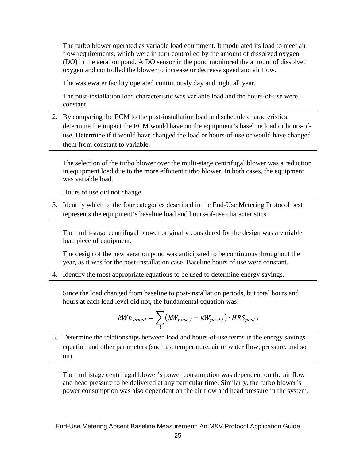The turbo blower operated as variable load equipment. It modulated its load to meet air flow requirements, which were in turn controlled by the amount of dissolved oxygen (DO) in the aeration pond. A DO sensor in the pond monitored the amount of dissolved oxygen and controlled the blower to increase or decrease speed and air flow.

The wastewater facility operated continuously day and night all year.

The post-installation load characteristic was variable load and the hours-of-use were constant.

2. By comparing the ECM to the post-installation load and schedule characteristics, determine the impact the ECM would have on the equipment's baseline load or hours-ofuse. Determine if it would have changed the load or hours-of-use or would have changed them from constant to variable.

The selection of the turbo blower over the multi-stage centrifugal blower was a reduction in equipment load due to the more efficient turbo blower. In both cases, the equipment was variable load.

Hours of use did not change.

3. Identify which of the four categories described in the End-Use Metering Protocol best represents the equipment's baseline load and hours-of-use characteristics.

The multi-stage centrifugal blower originally considered for the design was a variable load piece of equipment.

The design of the new aeration pond was anticipated to be continuous throughout the year, as it was for the post-installation case. Baseline hours of use were constant.

4. Identify the most appropriate equations to be used to determine energy savings.

Since the load changed from baseline to post-installation periods, but total hours and hours at each load level did not, the fundamental equation was:

$$
kWh_{saved} = \sum_{i} (kW_{base,i} - kW_{post,i}) \cdot HRS_{post,i}
$$

5. Determine the relationships between load and hours-of-use terms in the energy savings equation and other parameters (such as, temperature, air or water flow, pressure, and so on).

The multistage centrifugal blower's power consumption was dependent on the air flow and head pressure to be delivered at any particular time. Similarly, the turbo blower's power consumption was also dependent on the air flow and head pressure in the system.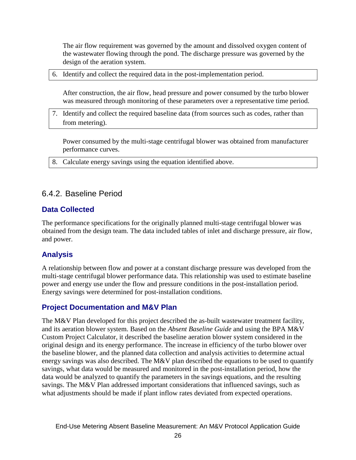The air flow requirement was governed by the amount and dissolved oxygen content of the wastewater flowing through the pond. The discharge pressure was governed by the design of the aeration system.

6. Identify and collect the required data in the post-implementation period.

After construction, the air flow, head pressure and power consumed by the turbo blower was measured through monitoring of these parameters over a representative time period.

7. Identify and collect the required baseline data (from sources such as codes, rather than from metering).

Power consumed by the multi-stage centrifugal blower was obtained from manufacturer performance curves.

<span id="page-29-0"></span>8. Calculate energy savings using the equation identified above.

### 6.4.2. Baseline Period

#### **Data Collected**

The performance specifications for the originally planned multi-stage centrifugal blower was obtained from the design team. The data included tables of inlet and discharge pressure, air flow, and power.

#### **Analysis**

A relationship between flow and power at a constant discharge pressure was developed from the multi-stage centrifugal blower performance data. This relationship was used to estimate baseline power and energy use under the flow and pressure conditions in the post-installation period. Energy savings were determined for post-installation conditions.

#### **Project Documentation and M&V Plan**

The M&V Plan developed for this project described the as-built wastewater treatment facility, and its aeration blower system. Based on the *Absent Baseline Guide* and using the BPA M&V Custom Project Calculator, it described the baseline aeration blower system considered in the original design and its energy performance. The increase in efficiency of the turbo blower over the baseline blower, and the planned data collection and analysis activities to determine actual energy savings was also described. The M&V plan described the equations to be used to quantify savings, what data would be measured and monitored in the post-installation period, how the data would be analyzed to quantify the parameters in the savings equations, and the resulting savings. The M&V Plan addressed important considerations that influenced savings, such as what adjustments should be made if plant inflow rates deviated from expected operations.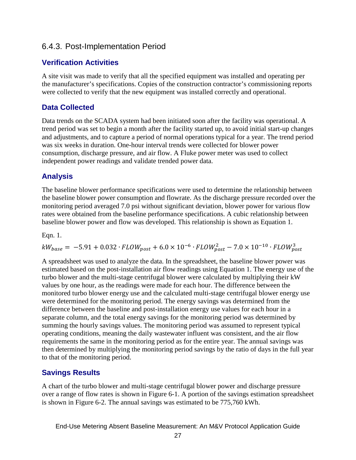#### <span id="page-30-0"></span>6.4.3. Post-Implementation Period

#### **Verification Activities**

A site visit was made to verify that all the specified equipment was installed and operating per the manufacturer's specifications. Copies of the construction contractor's commissioning reports were collected to verify that the new equipment was installed correctly and operational.

#### **Data Collected**

Data trends on the SCADA system had been initiated soon after the facility was operational. A trend period was set to begin a month after the facility started up, to avoid initial start-up changes and adjustments, and to capture a period of normal operations typical for a year. The trend period was six weeks in duration. One-hour interval trends were collected for blower power consumption, discharge pressure, and air flow. A Fluke power meter was used to collect independent power readings and validate trended power data.

#### **Analysis**

The baseline blower performance specifications were used to determine the relationship between the baseline blower power consumption and flowrate. As the discharge pressure recorded over the monitoring period averaged 7.0 psi without significant deviation, blower power for various flow rates were obtained from the baseline performance specifications. A cubic relationship between baseline blower power and flow was developed. This relationship is shown as Equation 1.

Eqn. 1.

 $kW_{base} = -5.91 + 0.032 \cdot FLOW_{post} + 6.0 \times 10^{-6} \cdot FLOW_{post}^2 - 7.0 \times 10^{-10} \cdot FLOW_{post}^3$ 

A spreadsheet was used to analyze the data. In the spreadsheet, the baseline blower power was estimated based on the post-installation air flow readings using Equation 1. The energy use of the turbo blower and the multi-stage centrifugal blower were calculated by multiplying their kW values by one hour, as the readings were made for each hour. The difference between the monitored turbo blower energy use and the calculated multi-stage centrifugal blower energy use were determined for the monitoring period. The energy savings was determined from the difference between the baseline and post-installation energy use values for each hour in a separate column, and the total energy savings for the monitoring period was determined by summing the hourly savings values. The monitoring period was assumed to represent typical operating conditions, meaning the daily wastewater influent was consistent, and the air flow requirements the same in the monitoring period as for the entire year. The annual savings was then determined by multiplying the monitoring period savings by the ratio of days in the full year to that of the monitoring period.

#### **Savings Results**

A chart of the turbo blower and multi-stage centrifugal blower power and discharge pressure over a range of flow rates is shown in Figure 6-1. A portion of the savings estimation spreadsheet is shown in Figure 6-2. The annual savings was estimated to be 775,760 kWh.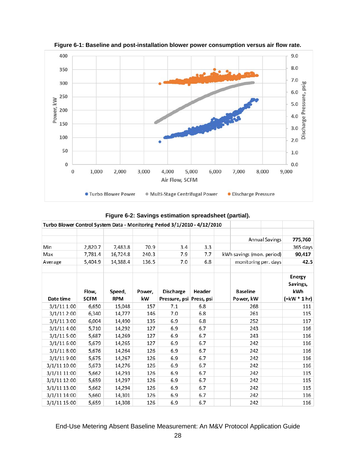

**Figure 6-1: Baseline and post-installation blower power consumption versus air flow rate.**

| Figure 6-2: Savings estimation spreadsheet (partial). |  |  |  |
|-------------------------------------------------------|--|--|--|
|-------------------------------------------------------|--|--|--|

| Turbo Blower Control System Data - Monitoring Period 3/1/2010 - 4/12/2010 |                      |                      |              |                                              |        |                              |  |                                                          |
|---------------------------------------------------------------------------|----------------------|----------------------|--------------|----------------------------------------------|--------|------------------------------|--|----------------------------------------------------------|
|                                                                           |                      |                      |              |                                              |        |                              |  |                                                          |
|                                                                           |                      |                      |              |                                              |        | <b>Annual Savings</b>        |  | 775,760                                                  |
| Min                                                                       | 2,820.7              | 7,483.8              | 70.9         | 3.4                                          | 3.3    |                              |  | 365 days                                                 |
| Max                                                                       | 7.781.4              | 16,724.8             | 240.3        | 7.9                                          | 7.7    | kWh savings (mon. period)    |  | 90,417                                                   |
| Average                                                                   | 5,404.9              | 14,388.4             | 136.5        | 7.0                                          | 6.8    | monitoring per. days         |  | 42.5                                                     |
| Date time                                                                 | Flow,<br><b>SCFM</b> | Speed,<br><b>RPM</b> | Power,<br>kW | <b>Discharge</b><br>Pressure, psi Press, psi | Header | <b>Baseline</b><br>Power, kW |  | Energy<br>Savings,<br>kWh<br>$=\text{kW} * 1 \text{ hr}$ |
| 3/1/111:00                                                                | 6,650                | 15,048               | 157          | 7.1                                          | 6.8    | 268                          |  | 111                                                      |
| 3/1/112:00                                                                | 6,340                | 14,777               | 146          | 7.0                                          | 6.8    | 261                          |  | 115                                                      |
| 3/1/113:00                                                                | 6,004                | 14,490               | 135          | 6.9                                          | 6.8    | 252                          |  | 117                                                      |
| 3/1/114:00                                                                | 5,710                | 14,292               | 127          | 6.9                                          | 6.7    | 243                          |  | 116                                                      |
| 3/1/115:00                                                                | 5,687                | 14,269               | 127          | 6.9                                          | 6.7    | 243                          |  | 116                                                      |
| 3/1/116:00                                                                | 5,679                | 14,265               | 127          | 6.9                                          | 6.7    | 242                          |  | 116                                                      |
| 3/1/118:00                                                                | 5,676                | 14,264               | 126          | 6.9                                          | 6.7    | 242                          |  | 116                                                      |
| 3/1/119:00                                                                | 5,675                | 14,267               | 126          | 6.9                                          | 6.7    | 242                          |  | 116                                                      |
| 3/1/11 10:00                                                              | 5,673                | 14,276               | 126          | 6.9                                          | 6.7    | 242                          |  | 116                                                      |
| 3/1/11 11:00                                                              | 5,662                | 14,293               | 126          | 6.9                                          | 6.7    | 242                          |  | 115                                                      |
| 3/1/11 12:00                                                              | 5.659                | 14,297               | 126          | 6.9                                          | 6.7    | 242                          |  | 115                                                      |
| 3/1/11 13:00                                                              | 5,662                | 14,294               | 126          | 6.9                                          | 6.7    | 242                          |  | 115                                                      |
| 3/1/11 14:00                                                              | 5,660                | 14,301               | 126          | 6.9                                          | 6.7    | 242                          |  | 116                                                      |
| 3/1/11 15:00                                                              | 5,659                | 14,308               | 126          | 6.9                                          | 6.7    | 242                          |  | 116                                                      |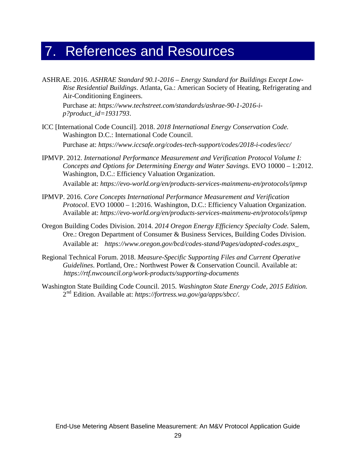## <span id="page-32-0"></span>7. References and Resources

ASHRAE. 2016. *ASHRAE Standard 90.1-2016 – Energy Standard for Buildings Except Low-Rise Residential Buildings*. Atlanta, Ga.: American Society of Heating, Refrigerating and Air-Conditioning Engineers.

Purchase at: *https://www.techstreet.com/standards/ashrae-90-1-2016-ip?product\_id=1931793*.

- ICC [International Code Council]. 2018. *2018 International Energy Conservation Code.* Washington D.C.: International Code Council. Purchase at: *https://www.iccsafe.org/codes-tech-support/codes/2018-i-codes/iecc/*
- IPMVP. 2012. *International Performance Measurement and Verification Protocol Volume I: Concepts and Options for Determining Energy and Water Savings*. EVO 10000 – 1:2012. Washington, D.C.: Efficiency Valuation Organization.

Available at: *<https://evo-world.org/en/products-services-mainmenu-en/protocols/ipmvp>*

- IPMVP. 2016. *Core Concepts International Performance Measurement and Verification Protocol*. EVO 10000 – 1:2016. Washington, D.C.: Efficiency Valuation Organization. Available at: *<https://evo-world.org/en/products-services-mainmenu-en/protocols/ipmvp>*
- Oregon Building Codes Division. 2014. *2014 Oregon Energy Efficiency Specialty Code.* Salem, Ore.: Oregon Department of Consumer & Business Services, Building Codes Division. Available at: https://www.oregon.gov/bcd/codes-stand/Pages/adopted-codes.aspx.
- Regional Technical Forum. 2018. *Measure-Specific Supporting Files and Current Operative Guidelines*. Portland, Ore.: Northwest Power & Conservation Council. Available at: <https://rtf.nwcouncil.org/work-products/supporting-documents>.
- Washington State Building Code Council. 2015. *Washington State Energy Code, 2015 Edition.* 2<sup>nd</sup> Edition. Available at: https://fortress.wa.gov/ga/apps/sbcc/.